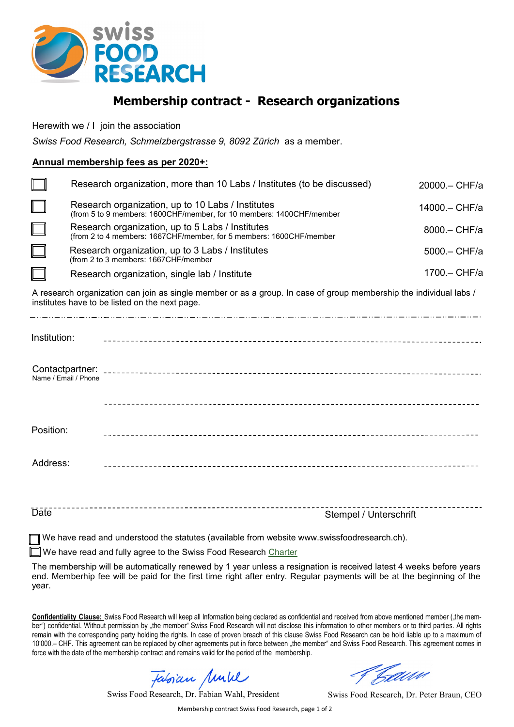

## **Membership contract - Research organizations**

Herewith we / I join the association

*Swiss Food Research, Schmelzbergstrasse 9, 8092 Zürich* as a member.

## **Annual membership fees as per 2020+:**

|        | Research organization, more than 10 Labs / Institutes (to be discussed)                                                   | 20000 .- CHF/a |
|--------|---------------------------------------------------------------------------------------------------------------------------|----------------|
| $\Box$ | Research organization, up to 10 Labs / Institutes<br>(from 5 to 9 members: 1600CHF/member, for 10 members: 1400CHF/member | 14000 .- CHF/a |
| $\Box$ | Research organization, up to 5 Labs / Institutes<br>(from 2 to 4 members: 1667CHF/member, for 5 members: 1600CHF/member   | 8000 .- CHF/a  |
| $\Box$ | Research organization, up to 3 Labs / Institutes<br>(from 2 to 3 members: 1667CHF/member                                  | 5000 .- CHF/a  |
|        | Research organization, single lab / Institute                                                                             | 1700. - CHF/a  |

A research organization can join as single member or as a group. In case of group membership the individual labs / institutes have to be listed on the next page.

| Institution:         |  |
|----------------------|--|
| Name / Email / Phone |  |
|                      |  |
| Position:            |  |
| Address:             |  |
|                      |  |

Date **Stempel** / Unterschrift

We have read and understood the statutes (available from website www.swissfoodresearch.ch).

We have read and fully agree to the Swiss Food Research [Charter](https://www.swissfoodresearch.ch/en/about-us/ecosystem/)

The membership will be automatically renewed by 1 year unless a resignation is received latest 4 weeks before years end. Memberhip fee will be paid for the first time right after entry. Regular payments will be at the beginning of the year.

Confidentiality Clause: Swiss Food Research will keep all Information being declared as confidential and received from above mentioned member ("the member") confidential. Without permission by "the member" Swiss Food Research will not disclose this information to other members or to third parties. All rights remain with the corresponding party holding the rights. In case of proven breach of this clause Swiss Food Research can be hold liable up to a maximum of 10'000.– CHF. This agreement can be replaced by other agreements put in force between "the member" and Swiss Food Research. This agreement comes in force with the date of the membership contract and remains valid for the period of the membership.

Fabrian Mull

Swiss Food Research, Dr. Fabian Wahl, President

Caddo

Swiss Food Research, Dr. Peter Braun, CEO

Membership contract Swiss Food Research, page 1 of 2